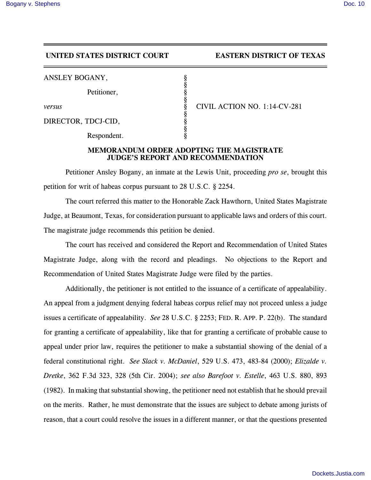## **UNITED STATES DISTRICT COURT EASTERN DISTRICT OF TEXAS**

|  | ANSLEY BOGANY, |  |
|--|----------------|--|
|--|----------------|--|

Petitioner,

DIRECTOR, TDCJ-CID,

Respondent.

*versus* § CIVIL ACTION NO. 1:14-CV-281

## **MEMORANDUM ORDER ADOPTING THE MAGISTRATE JUDGE'S REPORT AND RECOMMENDATION**

§

§

§

§

Petitioner Ansley Bogany, an inmate at the Lewis Unit, proceeding *pro se*, brought this petition for writ of habeas corpus pursuant to 28 U.S.C. § 2254.

The court referred this matter to the Honorable Zack Hawthorn, United States Magistrate Judge, at Beaumont, Texas, for consideration pursuant to applicable laws and orders of this court. The magistrate judge recommends this petition be denied.

The court has received and considered the Report and Recommendation of United States Magistrate Judge, along with the record and pleadings. No objections to the Report and Recommendation of United States Magistrate Judge were filed by the parties.

Additionally, the petitioner is not entitled to the issuance of a certificate of appealability. An appeal from a judgment denying federal habeas corpus relief may not proceed unless a judge issues a certificate of appealability. *See* 28 U.S.C. § 2253; FED. R. APP. P. 22(b). The standard for granting a certificate of appealability, like that for granting a certificate of probable cause to appeal under prior law, requires the petitioner to make a substantial showing of the denial of a federal constitutional right. *See Slack v. McDaniel*, 529 U.S. 473, 483-84 (2000); *Elizalde v. Dretke*, 362 F.3d 323, 328 (5th Cir. 2004); *see also Barefoot v. Estelle*, 463 U.S. 880, 893 (1982). In making that substantial showing, the petitioner need not establish that he should prevail on the merits. Rather, he must demonstrate that the issues are subject to debate among jurists of reason, that a court could resolve the issues in a different manner, or that the questions presented